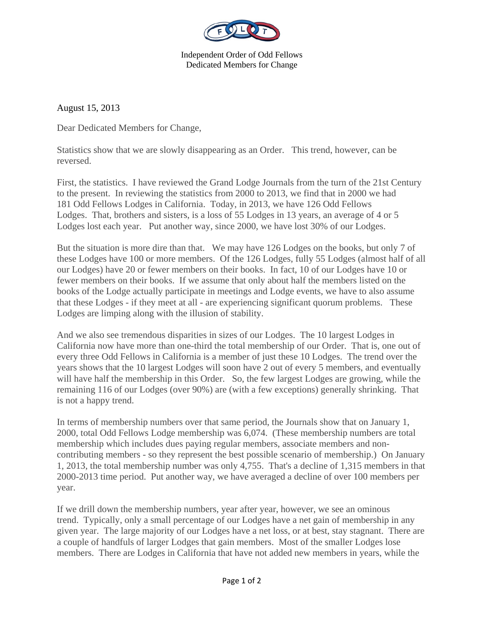

Independent Order of Odd Fellows Dedicated Members for Change

August 15, 2013

Dear Dedicated Members for Change,

Statistics show that we are slowly disappearing as an Order. This trend, however, can be reversed.

First, the statistics. I have reviewed the Grand Lodge Journals from the turn of the 21st Century to the present. In reviewing the statistics from 2000 to 2013, we find that in 2000 we had 181 Odd Fellows Lodges in California. Today, in 2013, we have 126 Odd Fellows Lodges. That, brothers and sisters, is a loss of 55 Lodges in 13 years, an average of 4 or 5 Lodges lost each year. Put another way, since 2000, we have lost 30% of our Lodges.

But the situation is more dire than that. We may have 126 Lodges on the books, but only 7 of these Lodges have 100 or more members. Of the 126 Lodges, fully 55 Lodges (almost half of all our Lodges) have 20 or fewer members on their books. In fact, 10 of our Lodges have 10 or fewer members on their books. If we assume that only about half the members listed on the books of the Lodge actually participate in meetings and Lodge events, we have to also assume that these Lodges - if they meet at all - are experiencing significant quorum problems. These Lodges are limping along with the illusion of stability.

And we also see tremendous disparities in sizes of our Lodges. The 10 largest Lodges in California now have more than one-third the total membership of our Order. That is, one out of every three Odd Fellows in California is a member of just these 10 Lodges. The trend over the years shows that the 10 largest Lodges will soon have 2 out of every 5 members, and eventually will have half the membership in this Order. So, the few largest Lodges are growing, while the remaining 116 of our Lodges (over 90%) are (with a few exceptions) generally shrinking. That is not a happy trend.

In terms of membership numbers over that same period, the Journals show that on January 1, 2000, total Odd Fellows Lodge membership was 6,074. (These membership numbers are total membership which includes dues paying regular members, associate members and noncontributing members - so they represent the best possible scenario of membership.) On January 1, 2013, the total membership number was only 4,755. That's a decline of 1,315 members in that 2000-2013 time period. Put another way, we have averaged a decline of over 100 members per year.

If we drill down the membership numbers, year after year, however, we see an ominous trend. Typically, only a small percentage of our Lodges have a net gain of membership in any given year. The large majority of our Lodges have a net loss, or at best, stay stagnant. There are a couple of handfuls of larger Lodges that gain members. Most of the smaller Lodges lose members. There are Lodges in California that have not added new members in years, while the